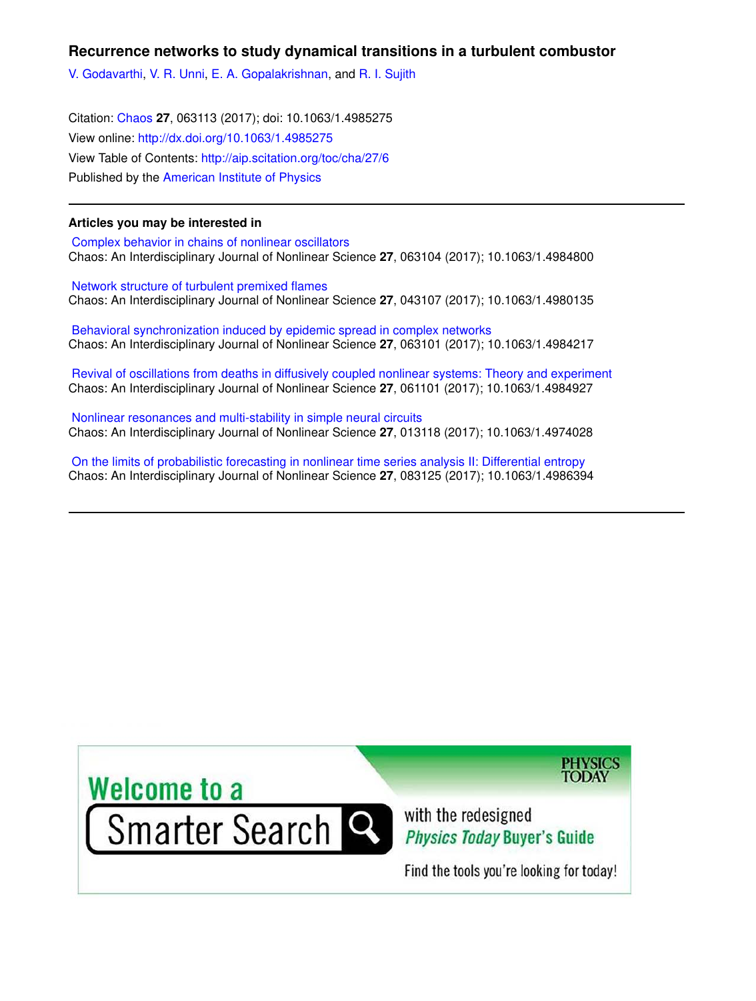## **Recurrence networks to study dynamical transitions in a turbulent combustor**

V. Godavarthi, V. R. Unni, E. A. Gopalakrishnan, and R. I. Sujith

Citation: Chaos **27**, 063113 (2017); doi: 10.1063/1.4985275 View online: http://dx.doi.org/10.1063/1.4985275 View Table of Contents: http://aip.scitation.org/toc/cha/27/6 Published by the American Institute of Physics

## **Articles you may be interested in**

 Complex behavior in chains of nonlinear oscillators Chaos: An Interdisciplinary Journal of Nonlinear Science **27**, 063104 (2017); 10.1063/1.4984800

 Network structure of turbulent premixed flames Chaos: An Interdisciplinary Journal of Nonlinear Science **27**, 043107 (2017); 10.1063/1.4980135

 Behavioral synchronization induced by epidemic spread in complex networks Chaos: An Interdisciplinary Journal of Nonlinear Science **27**, 063101 (2017); 10.1063/1.4984217

 Revival of oscillations from deaths in diffusively coupled nonlinear systems: Theory and experiment Chaos: An Interdisciplinary Journal of Nonlinear Science **27**, 061101 (2017); 10.1063/1.4984927

 Nonlinear resonances and multi-stability in simple neural circuits Chaos: An Interdisciplinary Journal of Nonlinear Science **27**, 013118 (2017); 10.1063/1.4974028

 On the limits of probabilistic forecasting in nonlinear time series analysis II: Differential entropy Chaos: An Interdisciplinary Journal of Nonlinear Science **27**, 083125 (2017); 10.1063/1.4986394

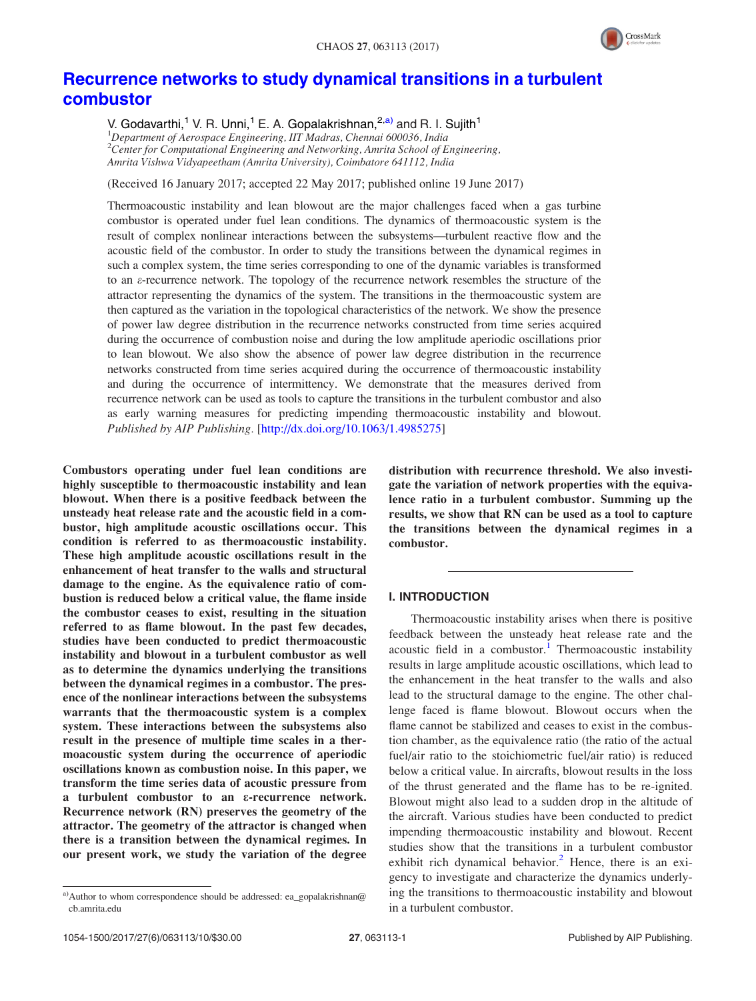

# Recurrence networks to study dynamical transitions in a turbulent combustor

V. Godavarthi,<sup>1</sup> V. R. Unni,<sup>1</sup> E. A. Gopalakrishnan,<sup>2,a)</sup> and R. I. Sujith<sup>1</sup> <sup>1</sup>*Department of Aerospace Engineering, IIT Madras, Chennai 600036, India* <sup>2</sup>*Center for Computational Engineering and Networking, Amrita School of Engineering, Amrita Vishwa Vidyapeetham (Amrita University), Coimbatore 641112, India*

(Received 16 January 2017; accepted 22 May 2017; published online 19 June 2017)

Thermoacoustic instability and lean blowout are the major challenges faced when a gas turbine combustor is operated under fuel lean conditions. The dynamics of thermoacoustic system is the result of complex nonlinear interactions between the subsystems—turbulent reactive flow and the acoustic field of the combustor. In order to study the transitions between the dynamical regimes in such a complex system, the time series corresponding to one of the dynamic variables is transformed to an  $\varepsilon$ -recurrence network. The topology of the recurrence network resembles the structure of the attractor representing the dynamics of the system. The transitions in the thermoacoustic system are then captured as the variation in the topological characteristics of the network. We show the presence of power law degree distribution in the recurrence networks constructed from time series acquired during the occurrence of combustion noise and during the low amplitude aperiodic oscillations prior to lean blowout. We also show the absence of power law degree distribution in the recurrence networks constructed from time series acquired during the occurrence of thermoacoustic instability and during the occurrence of intermittency. We demonstrate that the measures derived from recurrence network can be used as tools to capture the transitions in the turbulent combustor and also as early warning measures for predicting impending thermoacoustic instability and blowout. *Published by AIP Publishing.* [http://dx.doi.org/10.1063/1.4985275]

Combustors operating under fuel lean conditions are highly susceptible to thermoacoustic instability and lean blowout. When there is a positive feedback between the unsteady heat release rate and the acoustic field in a combustor, high amplitude acoustic oscillations occur. This condition is referred to as thermoacoustic instability. These high amplitude acoustic oscillations result in the enhancement of heat transfer to the walls and structural damage to the engine. As the equivalence ratio of combustion is reduced below a critical value, the flame inside the combustor ceases to exist, resulting in the situation referred to as flame blowout. In the past few decades, studies have been conducted to predict thermoacoustic instability and blowout in a turbulent combustor as well as to determine the dynamics underlying the transitions between the dynamical regimes in a combustor. The presence of the nonlinear interactions between the subsystems warrants that the thermoacoustic system is a complex system. These interactions between the subsystems also result in the presence of multiple time scales in a thermoacoustic system during the occurrence of aperiodic oscillations known as combustion noise. In this paper, we transform the time series data of acoustic pressure from a turbulent combustor to an e-recurrence network. Recurrence network (RN) preserves the geometry of the attractor. The geometry of the attractor is changed when there is a transition between the dynamical regimes. In our present work, we study the variation of the degree distribution with recurrence threshold. We also investigate the variation of network properties with the equivalence ratio in a turbulent combustor. Summing up the results, we show that RN can be used as a tool to capture the transitions between the dynamical regimes in a combustor.

## I. INTRODUCTION

Thermoacoustic instability arises when there is positive feedback between the unsteady heat release rate and the acoustic field in a combustor.<sup>1</sup> Thermoacoustic instability results in large amplitude acoustic oscillations, which lead to the enhancement in the heat transfer to the walls and also lead to the structural damage to the engine. The other challenge faced is flame blowout. Blowout occurs when the flame cannot be stabilized and ceases to exist in the combustion chamber, as the equivalence ratio (the ratio of the actual fuel/air ratio to the stoichiometric fuel/air ratio) is reduced below a critical value. In aircrafts, blowout results in the loss of the thrust generated and the flame has to be re-ignited. Blowout might also lead to a sudden drop in the altitude of the aircraft. Various studies have been conducted to predict impending thermoacoustic instability and blowout. Recent studies show that the transitions in a turbulent combustor exhibit rich dynamical behavior.<sup>2</sup> Hence, there is an exigency to investigate and characterize the dynamics underlying the transitions to thermoacoustic instability and blowout in a turbulent combustor.

a)Author to whom correspondence should be addressed: ea\_gopalakrishnan@ cb.amrita.edu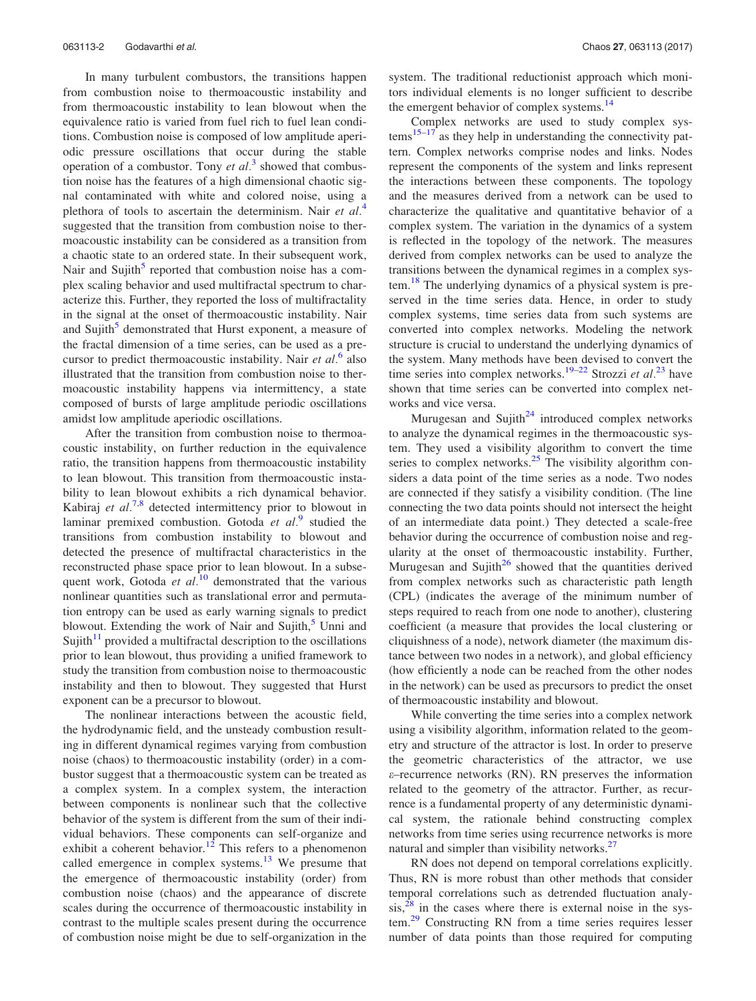In many turbulent combustors, the transitions happen from combustion noise to thermoacoustic instability and from thermoacoustic instability to lean blowout when the equivalence ratio is varied from fuel rich to fuel lean conditions. Combustion noise is composed of low amplitude aperiodic pressure oscillations that occur during the stable operation of a combustor. Tony *et al.*<sup>3</sup> showed that combustion noise has the features of a high dimensional chaotic signal contaminated with white and colored noise, using a plethora of tools to ascertain the determinism. Nair *et al.*<sup>4</sup> suggested that the transition from combustion noise to thermoacoustic instability can be considered as a transition from a chaotic state to an ordered state. In their subsequent work, Nair and Sujith<sup>5</sup> reported that combustion noise has a complex scaling behavior and used multifractal spectrum to characterize this. Further, they reported the loss of multifractality in the signal at the onset of thermoacoustic instability. Nair and Sujith<sup>5</sup> demonstrated that Hurst exponent, a measure of the fractal dimension of a time series, can be used as a precursor to predict thermoacoustic instability. Nair *et al.*<sup>6</sup> also illustrated that the transition from combustion noise to thermoacoustic instability happens via intermittency, a state composed of bursts of large amplitude periodic oscillations amidst low amplitude aperiodic oscillations.

After the transition from combustion noise to thermoacoustic instability, on further reduction in the equivalence ratio, the transition happens from thermoacoustic instability to lean blowout. This transition from thermoacoustic instability to lean blowout exhibits a rich dynamical behavior. Kabiraj et al.<sup>7,8</sup> detected intermittency prior to blowout in laminar premixed combustion. Gotoda et al.<sup>9</sup> studied the transitions from combustion instability to blowout and detected the presence of multifractal characteristics in the reconstructed phase space prior to lean blowout. In a subsequent work, Gotoda *et al.*<sup>10</sup> demonstrated that the various nonlinear quantities such as translational error and permutation entropy can be used as early warning signals to predict blowout. Extending the work of Nair and Sujith,<sup>5</sup> Unni and Sujith $11$  provided a multifractal description to the oscillations prior to lean blowout, thus providing a unified framework to study the transition from combustion noise to thermoacoustic instability and then to blowout. They suggested that Hurst exponent can be a precursor to blowout.

The nonlinear interactions between the acoustic field, the hydrodynamic field, and the unsteady combustion resulting in different dynamical regimes varying from combustion noise (chaos) to thermoacoustic instability (order) in a combustor suggest that a thermoacoustic system can be treated as a complex system. In a complex system, the interaction between components is nonlinear such that the collective behavior of the system is different from the sum of their individual behaviors. These components can self-organize and exhibit a coherent behavior.<sup>12</sup> This refers to a phenomenon called emergence in complex systems.<sup>13</sup> We presume that the emergence of thermoacoustic instability (order) from combustion noise (chaos) and the appearance of discrete scales during the occurrence of thermoacoustic instability in contrast to the multiple scales present during the occurrence of combustion noise might be due to self-organization in the system. The traditional reductionist approach which monitors individual elements is no longer sufficient to describe the emergent behavior of complex systems.<sup>14</sup>

Complex networks are used to study complex sys $t_{\rm em}$ <sup>15–17</sup> as they help in understanding the connectivity pattern. Complex networks comprise nodes and links. Nodes represent the components of the system and links represent the interactions between these components. The topology and the measures derived from a network can be used to characterize the qualitative and quantitative behavior of a complex system. The variation in the dynamics of a system is reflected in the topology of the network. The measures derived from complex networks can be used to analyze the transitions between the dynamical regimes in a complex system.<sup>18</sup> The underlying dynamics of a physical system is preserved in the time series data. Hence, in order to study complex systems, time series data from such systems are converted into complex networks. Modeling the network structure is crucial to understand the underlying dynamics of the system. Many methods have been devised to convert the time series into complex networks.<sup>19–22</sup> Strozzi *et al.*<sup>23</sup> have shown that time series can be converted into complex networks and vice versa.

Murugesan and Sujith $^{24}$  introduced complex networks to analyze the dynamical regimes in the thermoacoustic system. They used a visibility algorithm to convert the time series to complex networks. $25$  The visibility algorithm considers a data point of the time series as a node. Two nodes are connected if they satisfy a visibility condition. (The line connecting the two data points should not intersect the height of an intermediate data point.) They detected a scale-free behavior during the occurrence of combustion noise and regularity at the onset of thermoacoustic instability. Further, Murugesan and Sujith $^{26}$  showed that the quantities derived from complex networks such as characteristic path length (CPL) (indicates the average of the minimum number of steps required to reach from one node to another), clustering coefficient (a measure that provides the local clustering or cliquishness of a node), network diameter (the maximum distance between two nodes in a network), and global efficiency (how efficiently a node can be reached from the other nodes in the network) can be used as precursors to predict the onset of thermoacoustic instability and blowout.

While converting the time series into a complex network using a visibility algorithm, information related to the geometry and structure of the attractor is lost. In order to preserve the geometric characteristics of the attractor, we use e–recurrence networks (RN). RN preserves the information related to the geometry of the attractor. Further, as recurrence is a fundamental property of any deterministic dynamical system, the rationale behind constructing complex networks from time series using recurrence networks is more natural and simpler than visibility networks.<sup>27</sup>

RN does not depend on temporal correlations explicitly. Thus, RN is more robust than other methods that consider temporal correlations such as detrended fluctuation analy $sis<sub>1</sub><sup>28</sup>$  in the cases where there is external noise in the system.<sup>29</sup> Constructing RN from a time series requires lesser number of data points than those required for computing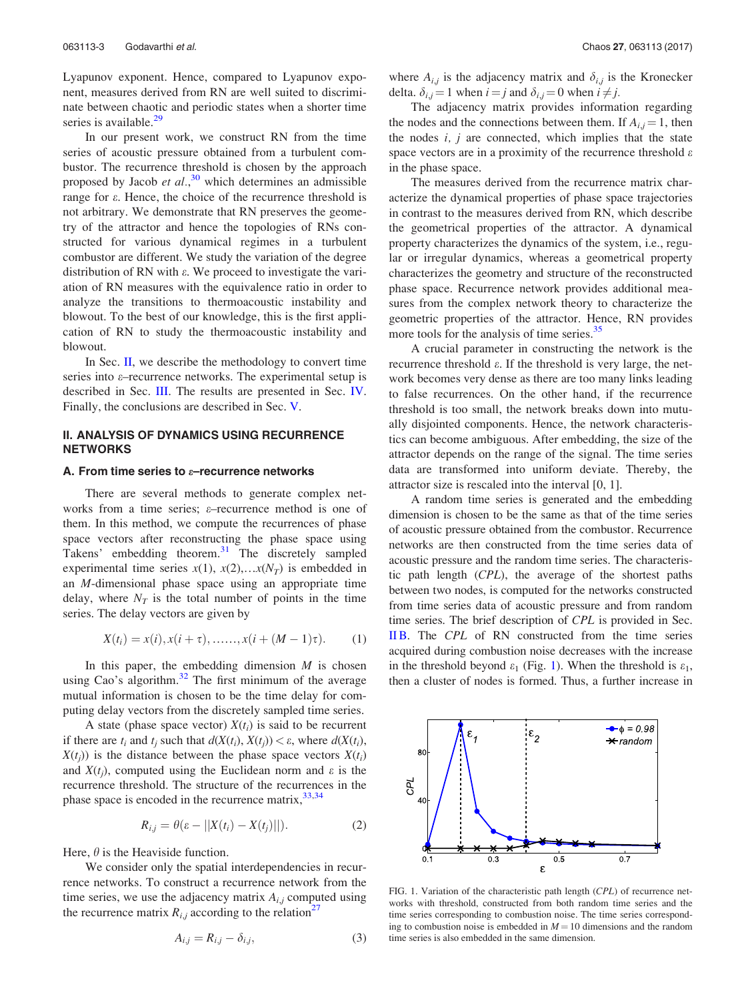Lyapunov exponent. Hence, compared to Lyapunov exponent, measures derived from RN are well suited to discriminate between chaotic and periodic states when a shorter time series is available. $29$ 

In our present work, we construct RN from the time series of acoustic pressure obtained from a turbulent combustor. The recurrence threshold is chosen by the approach proposed by Jacob *et al.*, <sup>30</sup> which determines an admissible range for  $\varepsilon$ . Hence, the choice of the recurrence threshold is not arbitrary. We demonstrate that RN preserves the geometry of the attractor and hence the topologies of RNs constructed for various dynamical regimes in a turbulent combustor are different. We study the variation of the degree distribution of RN with  $\varepsilon$ . We proceed to investigate the variation of RN measures with the equivalence ratio in order to analyze the transitions to thermoacoustic instability and blowout. To the best of our knowledge, this is the first application of RN to study the thermoacoustic instability and blowout.

In Sec. II, we describe the methodology to convert time series into  $\varepsilon$ –recurrence networks. The experimental setup is described in Sec. III. The results are presented in Sec. IV. Finally, the conclusions are described in Sec. V.

## II. ANALYSIS OF DYNAMICS USING RECURRENCE **NETWORKS**

#### A. From time series to  $\varepsilon$ -recurrence networks

There are several methods to generate complex networks from a time series; e–recurrence method is one of them. In this method, we compute the recurrences of phase space vectors after reconstructing the phase space using Takens' embedding theorem.<sup>31</sup> The discretely sampled experimental time series  $x(1)$ ,  $x(2)$ ,  $x(N<sub>T</sub>)$  is embedded in an *M*-dimensional phase space using an appropriate time delay, where  $N_T$  is the total number of points in the time series. The delay vectors are given by

$$
X(t_i) = x(i), x(i + \tau), \dots, x(i + (M - 1)\tau).
$$
 (1)

In this paper, the embedding dimension  $M$  is chosen using Cao's algorithm. $32$  The first minimum of the average mutual information is chosen to be the time delay for computing delay vectors from the discretely sampled time series.

A state (phase space vector)  $X(t_i)$  is said to be recurrent if there are  $t_i$  and  $t_j$  such that  $d(X(t_i), X(t_j)) < \varepsilon$ , where  $d(X(t_i),$  $X(t_j)$ ) is the distance between the phase space vectors  $X(t_i)$ and  $X(t_j)$ , computed using the Euclidean norm and  $\varepsilon$  is the recurrence threshold. The structure of the recurrences in the phase space is encoded in the recurrence matrix,  $33,34$ 

$$
R_{i,j} = \theta(\varepsilon - ||X(t_i) - X(t_j)||). \tag{2}
$$

Here,  $\theta$  is the Heaviside function.

We consider only the spatial interdependencies in recurrence networks. To construct a recurrence network from the time series, we use the adjacency matrix  $A_{i,j}$  computed using the recurrence matrix  $R_{i,j}$  according to the relation<sup>27</sup>

$$
A_{i,j} = R_{i,j} - \delta_{i,j},\tag{3}
$$

where  $A_{i,j}$  is the adjacency matrix and  $\delta_{i,j}$  is the Kronecker delta.  $\delta_{i,j} = 1$  when  $i = j$  and  $\delta_{i,j} = 0$  when  $i \neq j$ .

The adjacency matrix provides information regarding the nodes and the connections between them. If  $A_{i,j} = 1$ , then the nodes *i, j* are connected, which implies that the state space vectors are in a proximity of the recurrence threshold  $\varepsilon$ in the phase space.

The measures derived from the recurrence matrix characterize the dynamical properties of phase space trajectories in contrast to the measures derived from RN, which describe the geometrical properties of the attractor. A dynamical property characterizes the dynamics of the system, i.e., regular or irregular dynamics, whereas a geometrical property characterizes the geometry and structure of the reconstructed phase space. Recurrence network provides additional measures from the complex network theory to characterize the geometric properties of the attractor. Hence, RN provides more tools for the analysis of time series.<sup>35</sup>

A crucial parameter in constructing the network is the recurrence threshold  $\varepsilon$ . If the threshold is very large, the network becomes very dense as there are too many links leading to false recurrences. On the other hand, if the recurrence threshold is too small, the network breaks down into mutually disjointed components. Hence, the network characteristics can become ambiguous. After embedding, the size of the attractor depends on the range of the signal. The time series data are transformed into uniform deviate. Thereby, the attractor size is rescaled into the interval [0, 1].

A random time series is generated and the embedding dimension is chosen to be the same as that of the time series of acoustic pressure obtained from the combustor. Recurrence networks are then constructed from the time series data of acoustic pressure and the random time series. The characteristic path length (*CPL*), the average of the shortest paths between two nodes, is computed for the networks constructed from time series data of acoustic pressure and from random time series. The brief description of *CPL* is provided in Sec. II B. The *CPL* of RN constructed from the time series acquired during combustion noise decreases with the increase in the threshold beyond  $\varepsilon_1$  (Fig. 1). When the threshold is  $\varepsilon_1$ , then a cluster of nodes is formed. Thus, a further increase in



FIG. 1. Variation of the characteristic path length (*CPL*) of recurrence networks with threshold, constructed from both random time series and the time series corresponding to combustion noise. The time series corresponding to combustion noise is embedded in  $M = 10$  dimensions and the random time series is also embedded in the same dimension.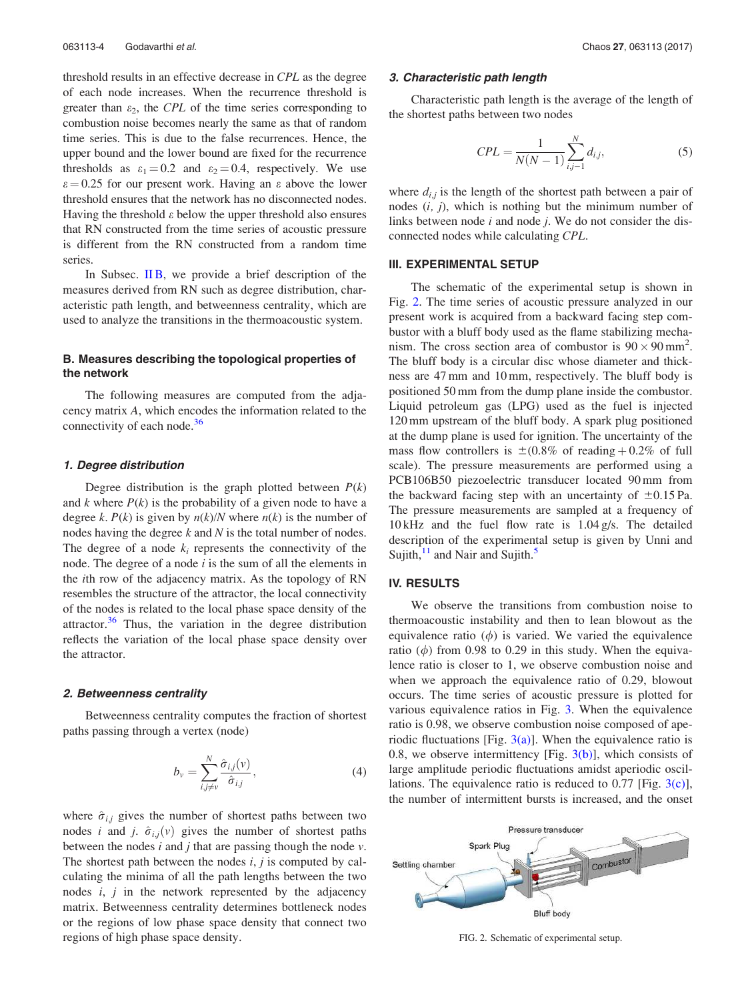threshold results in an effective decrease in *CPL* as the degree of each node increases. When the recurrence threshold is greater than  $\varepsilon_2$ , the *CPL* of the time series corresponding to combustion noise becomes nearly the same as that of random time series. This is due to the false recurrences. Hence, the upper bound and the lower bound are fixed for the recurrence thresholds as  $\varepsilon_1 = 0.2$  and  $\varepsilon_2 = 0.4$ , respectively. We use  $\varepsilon = 0.25$  for our present work. Having an  $\varepsilon$  above the lower threshold ensures that the network has no disconnected nodes. Having the threshold  $\varepsilon$  below the upper threshold also ensures that RN constructed from the time series of acoustic pressure is different from the RN constructed from a random time series.

In Subsec.  $\mathbf{I} \mathbf{I} \mathbf{B}$ , we provide a brief description of the measures derived from RN such as degree distribution, characteristic path length, and betweenness centrality, which are used to analyze the transitions in the thermoacoustic system.

## B. Measures describing the topological properties of the network

The following measures are computed from the adjacency matrix *A*, which encodes the information related to the connectivity of each node.<sup>36</sup>

#### 1. Degree distribution

Degree distribution is the graph plotted between *P*(*k*) and  $k$  where  $P(k)$  is the probability of a given node to have a degree *k*.  $P(k)$  is given by  $n(k)/N$  where  $n(k)$  is the number of nodes having the degree *k* and *N* is the total number of nodes. The degree of a node  $k_i$  represents the connectivity of the node. The degree of a node *i* is the sum of all the elements in the *i*th row of the adjacency matrix. As the topology of RN resembles the structure of the attractor, the local connectivity of the nodes is related to the local phase space density of the attractor. $36$  Thus, the variation in the degree distribution reflects the variation of the local phase space density over the attractor.

#### 2. Betweenness centrality

Betweenness centrality computes the fraction of shortest paths passing through a vertex (node)

$$
b_{v} = \sum_{i,j \neq v}^{N} \frac{\hat{\sigma}_{i,j}(v)}{\hat{\sigma}_{i,j}},
$$
\n(4)

where  $\hat{\sigma}_{i,j}$  gives the number of shortest paths between two nodes *i* and *j*.  $\hat{\sigma}_{i,j}(v)$  gives the number of shortest paths between the nodes *i* and *j* that are passing though the node *v*. The shortest path between the nodes *i*, *j* is computed by calculating the minima of all the path lengths between the two nodes *i*, *j* in the network represented by the adjacency matrix. Betweenness centrality determines bottleneck nodes or the regions of low phase space density that connect two regions of high phase space density.

#### 3. Characteristic path length

Characteristic path length is the average of the length of the shortest paths between two nodes

$$
CPL = \frac{1}{N(N-1)} \sum_{i,j=1}^{N} d_{i,j},
$$
\n(5)

where  $d_{i,j}$  is the length of the shortest path between a pair of nodes (*i, j*), which is nothing but the minimum number of links between node *i* and node *j*. We do not consider the disconnected nodes while calculating *CPL*.

#### III. EXPERIMENTAL SETUP

The schematic of the experimental setup is shown in Fig. 2. The time series of acoustic pressure analyzed in our present work is acquired from a backward facing step combustor with a bluff body used as the flame stabilizing mechanism. The cross section area of combustor is  $90 \times 90$  mm<sup>2</sup>. The bluff body is a circular disc whose diameter and thickness are 47 mm and 10 mm, respectively. The bluff body is positioned 50 mm from the dump plane inside the combustor. Liquid petroleum gas (LPG) used as the fuel is injected 120 mm upstream of the bluff body. A spark plug positioned at the dump plane is used for ignition. The uncertainty of the mass flow controllers is  $\pm (0.8\% \text{ of reading } +0.2\% \text{ of full})$ scale). The pressure measurements are performed using a PCB106B50 piezoelectric transducer located 90 mm from the backward facing step with an uncertainty of  $\pm 0.15$  Pa. The pressure measurements are sampled at a frequency of 10 kHz and the fuel flow rate is 1.04 g/s. The detailed description of the experimental setup is given by Unni and Sujith, $11$  and Nair and Sujith.<sup>5</sup>

## IV. RESULTS

We observe the transitions from combustion noise to thermoacoustic instability and then to lean blowout as the equivalence ratio  $(\phi)$  is varied. We varied the equivalence ratio ( $\phi$ ) from 0.98 to 0.29 in this study. When the equivalence ratio is closer to 1, we observe combustion noise and when we approach the equivalence ratio of 0.29, blowout occurs. The time series of acoustic pressure is plotted for various equivalence ratios in Fig. 3. When the equivalence ratio is 0.98, we observe combustion noise composed of aperiodic fluctuations [Fig.  $3(a)$ ]. When the equivalence ratio is 0.8, we observe intermittency [Fig.  $3(b)$ ], which consists of large amplitude periodic fluctuations amidst aperiodic oscillations. The equivalence ratio is reduced to  $0.77$  [Fig.  $3(c)$ ], the number of intermittent bursts is increased, and the onset



FIG. 2. Schematic of experimental setup.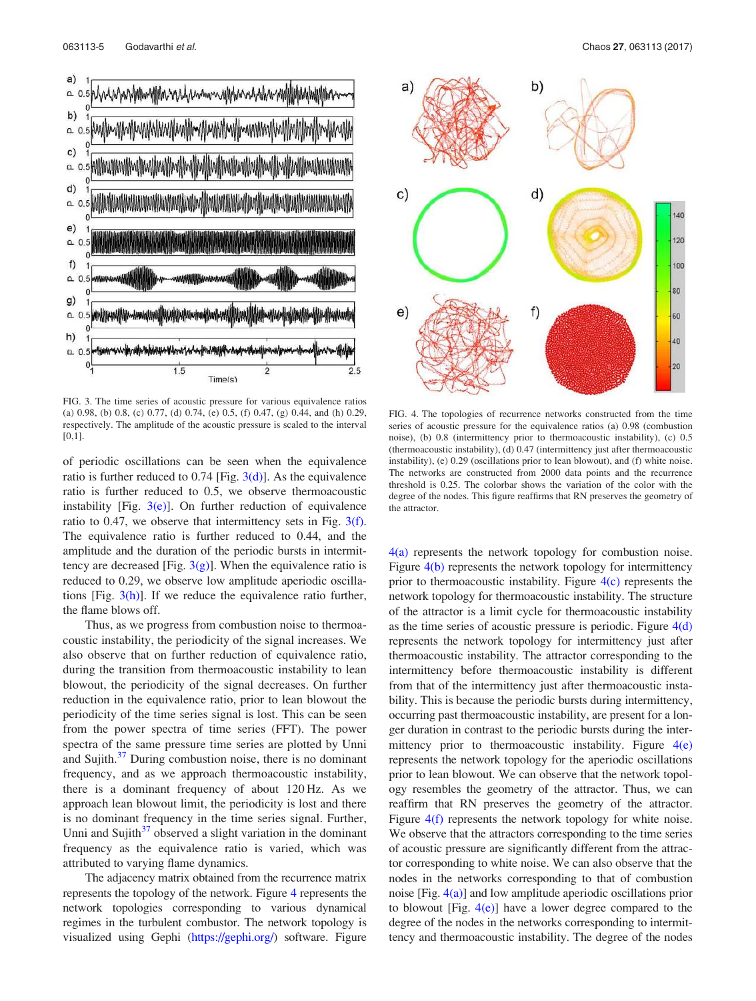

FIG. 3. The time series of acoustic pressure for various equivalence ratios (a) 0.98, (b) 0.8, (c) 0.77, (d) 0.74, (e) 0.5, (f) 0.47, (g) 0.44, and (h) 0.29, respectively. The amplitude of the acoustic pressure is scaled to the interval [0,1].

of periodic oscillations can be seen when the equivalence ratio is further reduced to 0.74 [Fig.  $3(d)$ ]. As the equivalence ratio is further reduced to 0.5, we observe thermoacoustic instability [Fig.  $3(e)$ ]. On further reduction of equivalence ratio to 0.47, we observe that intermittency sets in Fig.  $3(f)$ . The equivalence ratio is further reduced to 0.44, and the amplitude and the duration of the periodic bursts in intermittency are decreased [Fig.  $3(g)$ ]. When the equivalence ratio is reduced to 0.29, we observe low amplitude aperiodic oscillations [Fig.  $3(h)$ ]. If we reduce the equivalence ratio further, the flame blows off.

Thus, as we progress from combustion noise to thermoacoustic instability, the periodicity of the signal increases. We also observe that on further reduction of equivalence ratio, during the transition from thermoacoustic instability to lean blowout, the periodicity of the signal decreases. On further reduction in the equivalence ratio, prior to lean blowout the periodicity of the time series signal is lost. This can be seen from the power spectra of time series (FFT). The power spectra of the same pressure time series are plotted by Unni and Sujith. $37$  During combustion noise, there is no dominant frequency, and as we approach thermoacoustic instability, there is a dominant frequency of about 120 Hz. As we approach lean blowout limit, the periodicity is lost and there is no dominant frequency in the time series signal. Further, Unni and Sujith $37$  observed a slight variation in the dominant frequency as the equivalence ratio is varied, which was attributed to varying flame dynamics.

The adjacency matrix obtained from the recurrence matrix represents the topology of the network. Figure 4 represents the network topologies corresponding to various dynamical regimes in the turbulent combustor. The network topology is visualized using Gephi (https://gephi.org/) software. Figure



FIG. 4. The topologies of recurrence networks constructed from the time series of acoustic pressure for the equivalence ratios (a) 0.98 (combustion noise), (b) 0.8 (intermittency prior to thermoacoustic instability), (c) 0.5 (thermoacoustic instability), (d) 0.47 (intermittency just after thermoacoustic instability), (e) 0.29 (oscillations prior to lean blowout), and (f) white noise. The networks are constructed from 2000 data points and the recurrence threshold is 0.25. The colorbar shows the variation of the color with the degree of the nodes. This figure reaffirms that RN preserves the geometry of the attractor.

4(a) represents the network topology for combustion noise. Figure 4(b) represents the network topology for intermittency prior to thermoacoustic instability. Figure 4(c) represents the network topology for thermoacoustic instability. The structure of the attractor is a limit cycle for thermoacoustic instability as the time series of acoustic pressure is periodic. Figure  $4(d)$ represents the network topology for intermittency just after thermoacoustic instability. The attractor corresponding to the intermittency before thermoacoustic instability is different from that of the intermittency just after thermoacoustic instability. This is because the periodic bursts during intermittency, occurring past thermoacoustic instability, are present for a longer duration in contrast to the periodic bursts during the intermittency prior to thermoacoustic instability. Figure 4(e) represents the network topology for the aperiodic oscillations prior to lean blowout. We can observe that the network topology resembles the geometry of the attractor. Thus, we can reaffirm that RN preserves the geometry of the attractor. Figure 4(f) represents the network topology for white noise. We observe that the attractors corresponding to the time series of acoustic pressure are significantly different from the attractor corresponding to white noise. We can also observe that the nodes in the networks corresponding to that of combustion noise [Fig. 4(a)] and low amplitude aperiodic oscillations prior to blowout [Fig.  $4(e)$ ] have a lower degree compared to the degree of the nodes in the networks corresponding to intermittency and thermoacoustic instability. The degree of the nodes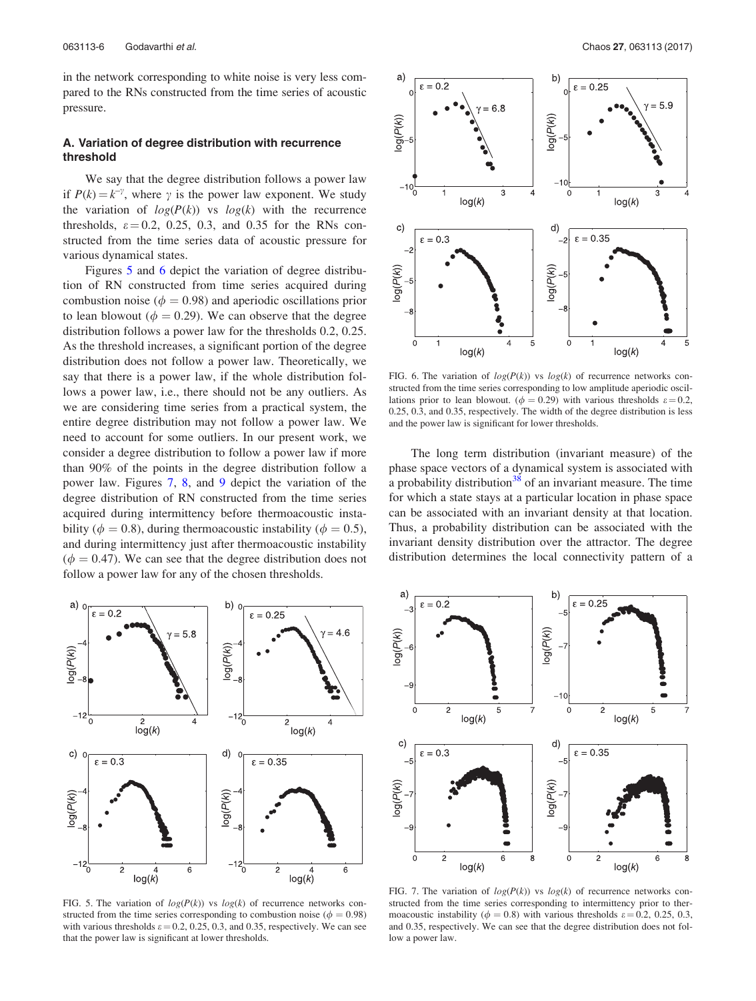in the network corresponding to white noise is very less compared to the RNs constructed from the time series of acoustic pressure.

## A. Variation of degree distribution with recurrence threshold

We say that the degree distribution follows a power law if  $P(k) = k^{-\gamma}$ , where  $\gamma$  is the power law exponent. We study the variation of  $log(P(k))$  vs  $log(k)$  with the recurrence thresholds,  $\varepsilon = 0.2$ , 0.25, 0.3, and 0.35 for the RNs constructed from the time series data of acoustic pressure for various dynamical states.

Figures 5 and 6 depict the variation of degree distribution of RN constructed from time series acquired during combustion noise ( $\phi = 0.98$ ) and aperiodic oscillations prior to lean blowout ( $\phi = 0.29$ ). We can observe that the degree distribution follows a power law for the thresholds 0.2, 0.25. As the threshold increases, a significant portion of the degree distribution does not follow a power law. Theoretically, we say that there is a power law, if the whole distribution follows a power law, i.e., there should not be any outliers. As we are considering time series from a practical system, the entire degree distribution may not follow a power law. We need to account for some outliers. In our present work, we consider a degree distribution to follow a power law if more than 90% of the points in the degree distribution follow a power law. Figures 7, 8, and 9 depict the variation of the degree distribution of RN constructed from the time series acquired during intermittency before thermoacoustic instability ( $\phi = 0.8$ ), during thermoacoustic instability ( $\phi = 0.5$ ), and during intermittency just after thermoacoustic instability  $(\phi = 0.47)$ . We can see that the degree distribution does not follow a power law for any of the chosen thresholds.



FIG. 5. The variation of  $log(P(k))$  vs  $log(k)$  of recurrence networks constructed from the time series corresponding to combustion noise ( $\phi = 0.98$ ) with various thresholds  $\varepsilon = 0.2, 0.25, 0.3,$  and 0.35, respectively. We can see that the power law is significant at lower thresholds.



FIG. 6. The variation of  $log(P(k))$  vs  $log(k)$  of recurrence networks constructed from the time series corresponding to low amplitude aperiodic oscillations prior to lean blowout. ( $\phi = 0.29$ ) with various thresholds  $\varepsilon = 0.2$ , 0.25, 0.3, and 0.35, respectively. The width of the degree distribution is less and the power law is significant for lower thresholds.

The long term distribution (invariant measure) of the phase space vectors of a dynamical system is associated with a probability distribution<sup>38</sup> of an invariant measure. The time for which a state stays at a particular location in phase space can be associated with an invariant density at that location. Thus, a probability distribution can be associated with the invariant density distribution over the attractor. The degree distribution determines the local connectivity pattern of a



FIG. 7. The variation of  $log(P(k))$  vs  $log(k)$  of recurrence networks constructed from the time series corresponding to intermittency prior to thermoacoustic instability ( $\phi = 0.8$ ) with various thresholds  $\varepsilon = 0.2, 0.25, 0.3$ , and 0.35, respectively. We can see that the degree distribution does not follow a power law.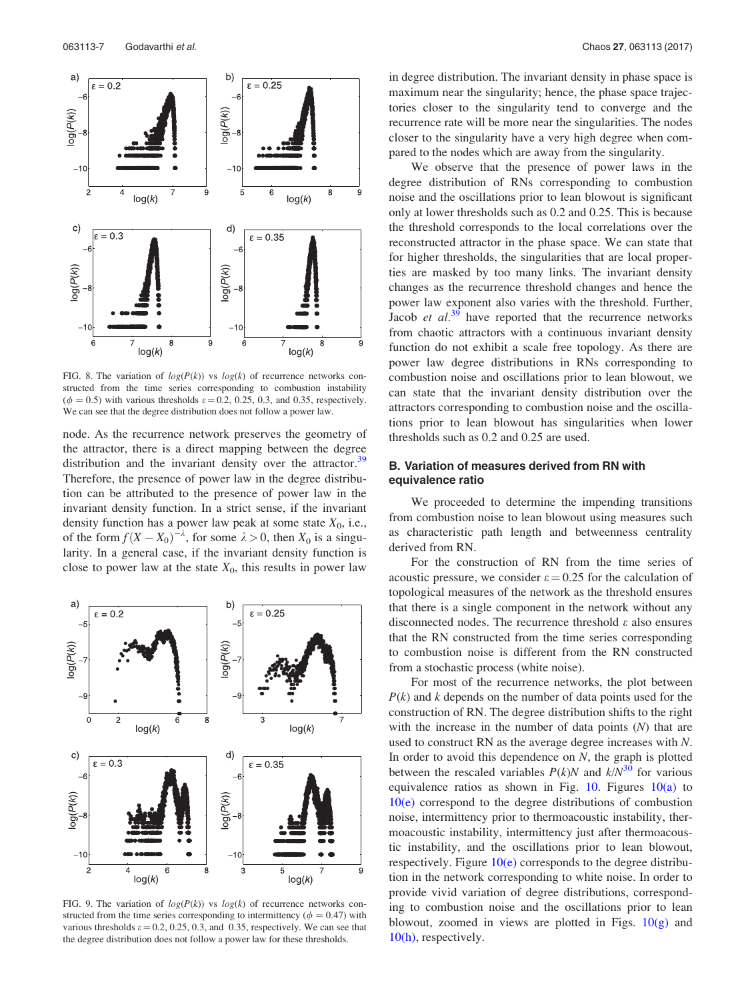

FIG. 8. The variation of  $log(P(k))$  vs  $log(k)$  of recurrence networks constructed from the time series corresponding to combustion instability ( $\phi = 0.5$ ) with various thresholds  $\varepsilon = 0.2$ , 0.25, 0.3, and 0.35, respectively. We can see that the degree distribution does not follow a power law.

node. As the recurrence network preserves the geometry of the attractor, there is a direct mapping between the degree distribution and the invariant density over the attractor.<sup>39</sup> Therefore, the presence of power law in the degree distribution can be attributed to the presence of power law in the invariant density function. In a strict sense, if the invariant density function has a power law peak at some state  $X_0$ , i.e., of the form  $f(X - X_0)^{-\lambda}$ , for some  $\lambda > 0$ , then  $X_0$  is a singularity. In a general case, if the invariant density function is close to power law at the state  $X_0$ , this results in power law



FIG. 9. The variation of  $log(P(k))$  vs  $log(k)$  of recurrence networks constructed from the time series corresponding to intermittency ( $\phi = 0.47$ ) with various thresholds  $\varepsilon = 0.2, 0.25, 0.3,$  and 0.35, respectively. We can see that the degree distribution does not follow a power law for these thresholds.

in degree distribution. The invariant density in phase space is maximum near the singularity; hence, the phase space trajectories closer to the singularity tend to converge and the recurrence rate will be more near the singularities. The nodes closer to the singularity have a very high degree when compared to the nodes which are away from the singularity.

We observe that the presence of power laws in the degree distribution of RNs corresponding to combustion noise and the oscillations prior to lean blowout is significant only at lower thresholds such as 0.2 and 0.25. This is because the threshold corresponds to the local correlations over the reconstructed attractor in the phase space. We can state that for higher thresholds, the singularities that are local properties are masked by too many links. The invariant density changes as the recurrence threshold changes and hence the power law exponent also varies with the threshold. Further, Jacob *et al.*<sup>39</sup> have reported that the recurrence networks from chaotic attractors with a continuous invariant density function do not exhibit a scale free topology. As there are power law degree distributions in RNs corresponding to combustion noise and oscillations prior to lean blowout, we can state that the invariant density distribution over the attractors corresponding to combustion noise and the oscillations prior to lean blowout has singularities when lower thresholds such as 0.2 and 0.25 are used.

## B. Variation of measures derived from RN with equivalence ratio

We proceeded to determine the impending transitions from combustion noise to lean blowout using measures such as characteristic path length and betweenness centrality derived from RN.

For the construction of RN from the time series of acoustic pressure, we consider  $\varepsilon = 0.25$  for the calculation of topological measures of the network as the threshold ensures that there is a single component in the network without any disconnected nodes. The recurrence threshold  $\varepsilon$  also ensures that the RN constructed from the time series corresponding to combustion noise is different from the RN constructed from a stochastic process (white noise).

For most of the recurrence networks, the plot between *P*(*k*) and *k* depends on the number of data points used for the construction of RN. The degree distribution shifts to the right with the increase in the number of data points (*N*) that are used to construct RN as the average degree increases with *N*. In order to avoid this dependence on *N*, the graph is plotted between the rescaled variables  $P(k)N$  and  $k/N^{30}$  for various equivalence ratios as shown in Fig. 10. Figures  $10(a)$  to 10(e) correspond to the degree distributions of combustion noise, intermittency prior to thermoacoustic instability, thermoacoustic instability, intermittency just after thermoacoustic instability, and the oscillations prior to lean blowout, respectively. Figure  $10(e)$  corresponds to the degree distribution in the network corresponding to white noise. In order to provide vivid variation of degree distributions, corresponding to combustion noise and the oscillations prior to lean blowout, zoomed in views are plotted in Figs.  $10(g)$  and 10(h), respectively.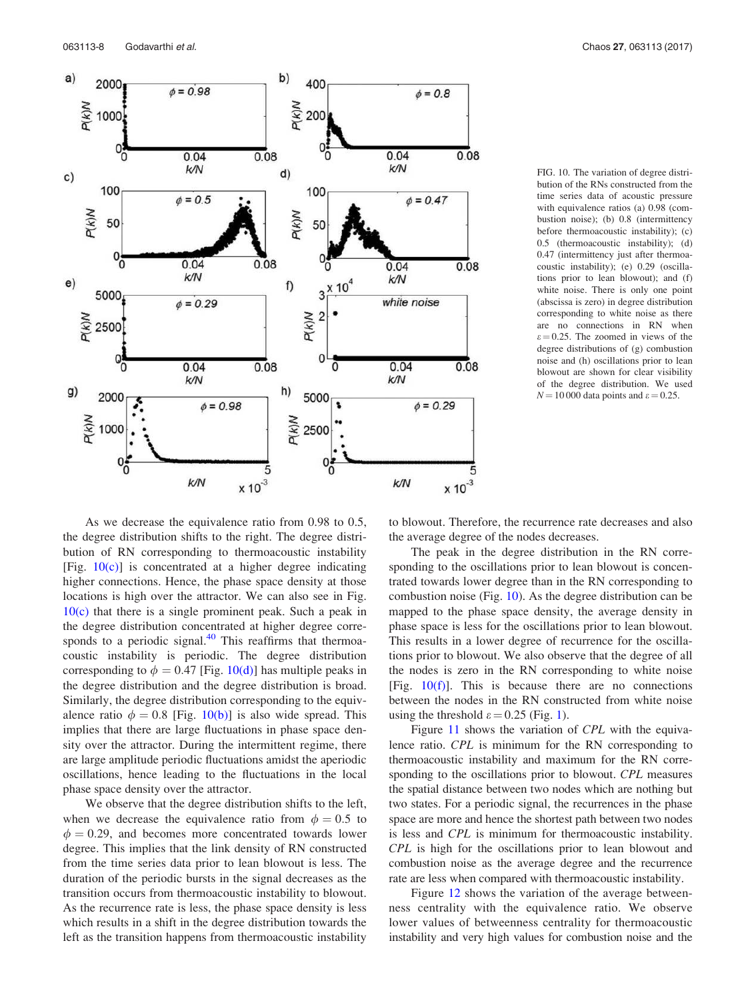

FIG. 10. The variation of degree distribution of the RNs constructed from the time series data of acoustic pressure with equivalence ratios (a) 0.98 (combustion noise); (b) 0.8 (intermittency before thermoacoustic instability); (c) 0.5 (thermoacoustic instability); (d) 0.47 (intermittency just after thermoacoustic instability); (e) 0.29 (oscillations prior to lean blowout); and (f) white noise. There is only one point (abscissa is zero) in degree distribution corresponding to white noise as there are no connections in RN when  $\varepsilon$  = 0.25. The zoomed in views of the degree distributions of (g) combustion noise and (h) oscillations prior to lean blowout are shown for clear visibility of the degree distribution. We used  $N = 10000$  data points and  $\varepsilon = 0.25$ .

As we decrease the equivalence ratio from 0.98 to 0.5, the degree distribution shifts to the right. The degree distribution of RN corresponding to thermoacoustic instability [Fig.  $10(c)$ ] is concentrated at a higher degree indicating higher connections. Hence, the phase space density at those locations is high over the attractor. We can also see in Fig. 10(c) that there is a single prominent peak. Such a peak in the degree distribution concentrated at higher degree corresponds to a periodic signal. $40$  This reaffirms that thermoacoustic instability is periodic. The degree distribution corresponding to  $\phi = 0.47$  [Fig. 10(d)] has multiple peaks in the degree distribution and the degree distribution is broad. Similarly, the degree distribution corresponding to the equivalence ratio  $\phi = 0.8$  [Fig. 10(b)] is also wide spread. This implies that there are large fluctuations in phase space density over the attractor. During the intermittent regime, there are large amplitude periodic fluctuations amidst the aperiodic oscillations, hence leading to the fluctuations in the local phase space density over the attractor.

We observe that the degree distribution shifts to the left, when we decrease the equivalence ratio from  $\phi = 0.5$  to  $\phi = 0.29$ , and becomes more concentrated towards lower degree. This implies that the link density of RN constructed from the time series data prior to lean blowout is less. The duration of the periodic bursts in the signal decreases as the transition occurs from thermoacoustic instability to blowout. As the recurrence rate is less, the phase space density is less which results in a shift in the degree distribution towards the left as the transition happens from thermoacoustic instability to blowout. Therefore, the recurrence rate decreases and also the average degree of the nodes decreases.

The peak in the degree distribution in the RN corresponding to the oscillations prior to lean blowout is concentrated towards lower degree than in the RN corresponding to combustion noise (Fig. 10). As the degree distribution can be mapped to the phase space density, the average density in phase space is less for the oscillations prior to lean blowout. This results in a lower degree of recurrence for the oscillations prior to blowout. We also observe that the degree of all the nodes is zero in the RN corresponding to white noise [Fig.  $10(f)$ ]. This is because there are no connections between the nodes in the RN constructed from white noise using the threshold  $\varepsilon = 0.25$  (Fig. 1).

Figure 11 shows the variation of *CPL* with the equivalence ratio. *CPL* is minimum for the RN corresponding to thermoacoustic instability and maximum for the RN corresponding to the oscillations prior to blowout. *CPL* measures the spatial distance between two nodes which are nothing but two states. For a periodic signal, the recurrences in the phase space are more and hence the shortest path between two nodes is less and *CPL* is minimum for thermoacoustic instability. *CPL* is high for the oscillations prior to lean blowout and combustion noise as the average degree and the recurrence rate are less when compared with thermoacoustic instability.

Figure 12 shows the variation of the average betweenness centrality with the equivalence ratio. We observe lower values of betweenness centrality for thermoacoustic instability and very high values for combustion noise and the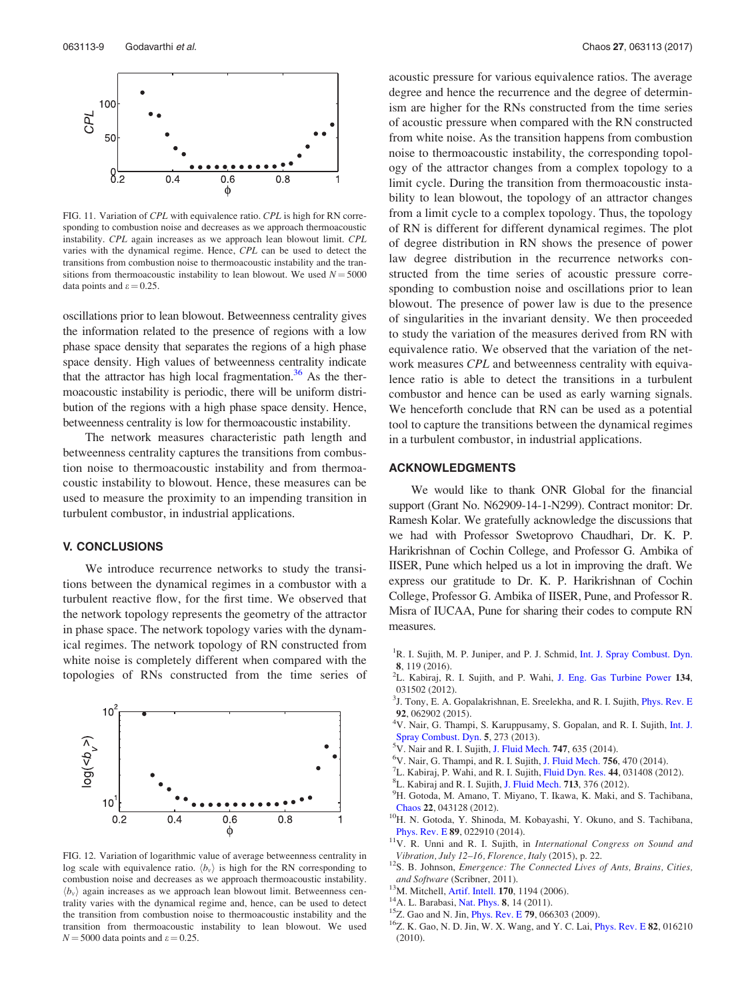

FIG. 11. Variation of *CPL* with equivalence ratio. *CPL* is high for RN corresponding to combustion noise and decreases as we approach thermoacoustic instability. *CPL* again increases as we approach lean blowout limit. *CPL* varies with the dynamical regime. Hence, *CPL* can be used to detect the transitions from combustion noise to thermoacoustic instability and the transitions from thermoacoustic instability to lean blowout. We used  $N = 5000$ data points and  $\varepsilon = 0.25$ .

oscillations prior to lean blowout. Betweenness centrality gives the information related to the presence of regions with a low phase space density that separates the regions of a high phase space density. High values of betweenness centrality indicate that the attractor has high local fragmentation.<sup>36</sup> As the thermoacoustic instability is periodic, there will be uniform distribution of the regions with a high phase space density. Hence, betweenness centrality is low for thermoacoustic instability.

The network measures characteristic path length and betweenness centrality captures the transitions from combustion noise to thermoacoustic instability and from thermoacoustic instability to blowout. Hence, these measures can be used to measure the proximity to an impending transition in turbulent combustor, in industrial applications.

#### V. CONCLUSIONS

We introduce recurrence networks to study the transitions between the dynamical regimes in a combustor with a turbulent reactive flow, for the first time. We observed that the network topology represents the geometry of the attractor in phase space. The network topology varies with the dynamical regimes. The network topology of RN constructed from white noise is completely different when compared with the topologies of RNs constructed from the time series of



FIG. 12. Variation of logarithmic value of average betweenness centrality in log scale with equivalence ratio.  $\langle b_v \rangle$  is high for the RN corresponding to combustion noise and decreases as we approach thermoacoustic instability.  $\langle b_v \rangle$  again increases as we approach lean blowout limit. Betweenness centrality varies with the dynamical regime and, hence, can be used to detect the transition from combustion noise to thermoacoustic instability and the transition from thermoacoustic instability to lean blowout. We used  $N = 5000$  data points and  $\varepsilon = 0.25$ .

acoustic pressure for various equivalence ratios. The average degree and hence the recurrence and the degree of determinism are higher for the RNs constructed from the time series of acoustic pressure when compared with the RN constructed from white noise. As the transition happens from combustion noise to thermoacoustic instability, the corresponding topology of the attractor changes from a complex topology to a limit cycle. During the transition from thermoacoustic instability to lean blowout, the topology of an attractor changes from a limit cycle to a complex topology. Thus, the topology of RN is different for different dynamical regimes. The plot of degree distribution in RN shows the presence of power law degree distribution in the recurrence networks constructed from the time series of acoustic pressure corresponding to combustion noise and oscillations prior to lean blowout. The presence of power law is due to the presence of singularities in the invariant density. We then proceeded to study the variation of the measures derived from RN with equivalence ratio. We observed that the variation of the network measures *CPL* and betweenness centrality with equivalence ratio is able to detect the transitions in a turbulent combustor and hence can be used as early warning signals. We henceforth conclude that RN can be used as a potential tool to capture the transitions between the dynamical regimes in a turbulent combustor, in industrial applications.

## ACKNOWLEDGMENTS

We would like to thank ONR Global for the financial support (Grant No. N62909-14-1-N299). Contract monitor: Dr. Ramesh Kolar. We gratefully acknowledge the discussions that we had with Professor Swetoprovo Chaudhari, Dr. K. P. Harikrishnan of Cochin College, and Professor G. Ambika of IISER, Pune which helped us a lot in improving the draft. We express our gratitude to Dr. K. P. Harikrishnan of Cochin College, Professor G. Ambika of IISER, Pune, and Professor R. Misra of IUCAA, Pune for sharing their codes to compute RN measures.

- <sup>1</sup>R. I. Sujith, M. P. Juniper, and P. J. Schmid, Int. J. Spray Combust. Dyn. 8, 119 (2016).
- <sup>2</sup>L. Kabiraj, R. I. Sujith, and P. Wahi, J. Eng. Gas Turbine Power 134, 031502 (2012).
- <sup>3</sup>J. Tony, E. A. Gopalakrishnan, E. Sreelekha, and R. I. Sujith, *Phys. Rev. E* 92, 062902 (2015).
- <sup>4</sup>V. Nair, G. Thampi, S. Karuppusamy, S. Gopalan, and R. I. Sujith, Int. J. Spray Combust. Dyn. 5, 273 (2013).
- $5V$ . Nair and R. I. Sujith, J. Fluid Mech. 747, 635 (2014).
- $^{6}$ V. Nair, G. Thampi, and R. I. Sujith, J. Fluid Mech. 756, 470 (2014).
- <sup>7</sup>L. Kabiraj, P. Wahi, and R. I. Sujith, Fluid Dyn. Res. 44, 031408 (2012).
- <sup>8</sup>L. Kabiraj and R. I. Sujith, J. Fluid Mech. 713, 376 (2012).
- <sup>9</sup>H. Gotoda, M. Amano, T. Miyano, T. Ikawa, K. Maki, and S. Tachibana, Chaos 22, 043128 (2012).
- <sup>10</sup>H. N. Gotoda, Y. Shinoda, M. Kobayashi, Y. Okuno, and S. Tachibana, Phys. Rev. E 89, 022910 (2014).
- <sup>11</sup>V. R. Unni and R. I. Sujith, in *International Congress on Sound and Vibration, July 12–16, Florence, Italy* (2015), p. 22.
- <sup>12</sup>S. B. Johnson, *Emergence: The Connected Lives of Ants, Brains, Cities, and Software* (Scribner, 2011).
- <sup>13</sup>M. Mitchell, Artif. Intell. **170**, 1194 (2006).
- <sup>14</sup>A. L. Barabasi, Nat. Phys. 8, 14 (2011).
- $^{15}Z$ . Gao and N. Jin, *Phys. Rev. E* 79, 066303 (2009).
- <sup>16</sup>Z. K. Gao, N. D. Jin, W. X. Wang, and Y. C. Lai, Phys. Rev. E 82, 016210 (2010).